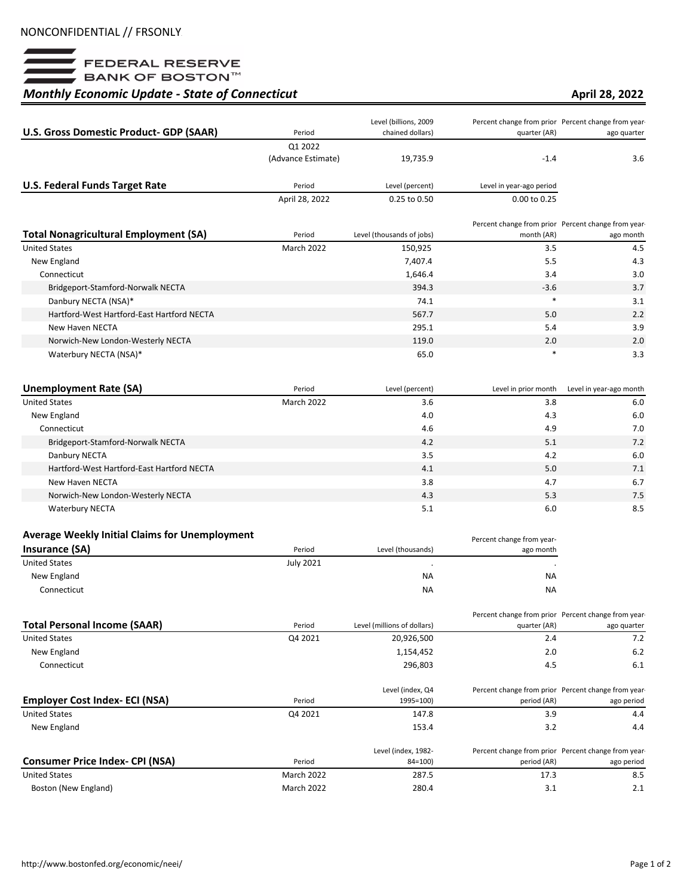

## *Monthly Economic Update - State of Connecticut*

## **April 28, 2022**

|                                              |                    | Level (billions, 2009     |                                                     | Percent change from prior Percent change from year- |
|----------------------------------------------|--------------------|---------------------------|-----------------------------------------------------|-----------------------------------------------------|
| U.S. Gross Domestic Product- GDP (SAAR)      | Period             | chained dollars)          | quarter (AR)                                        | ago quarter                                         |
|                                              | Q1 2022            |                           |                                                     |                                                     |
|                                              | (Advance Estimate) | 19,735.9                  | $-1.4$                                              | 3.6                                                 |
| <b>U.S. Federal Funds Target Rate</b>        | Period             | Level (percent)           | Level in year-ago period                            |                                                     |
|                                              | April 28, 2022     | 0.25 to 0.50              | 0.00 to 0.25                                        |                                                     |
|                                              |                    |                           | Percent change from prior Percent change from year- |                                                     |
| <b>Total Nonagricultural Employment (SA)</b> | Period             | Level (thousands of jobs) | month (AR)                                          | ago month                                           |
| <b>United States</b>                         | March 2022         | 150,925                   | 3.5                                                 | 4.5                                                 |
| New England                                  |                    | 7,407.4                   | 5.5                                                 | 4.3                                                 |
| Connecticut                                  |                    | 1,646.4                   | 3.4                                                 | 3.0                                                 |
| Bridgeport-Stamford-Norwalk NECTA            |                    | 394.3                     | $-3.6$                                              | 3.7                                                 |
| Danbury NECTA (NSA)*                         |                    | 74.1                      | $\ast$                                              | 3.1                                                 |
| Hartford-West Hartford-East Hartford NECTA   |                    | 567.7                     | 5.0                                                 | 2.2                                                 |
| New Haven NECTA                              |                    | 295.1                     | 5.4                                                 | 3.9                                                 |
| Norwich-New London-Westerly NECTA            |                    | 119.0                     | 2.0                                                 | 2.0                                                 |
| Waterbury NECTA (NSA)*                       |                    | 65.0                      | *                                                   | 3.3                                                 |

| Unemployment Rate (SA)                     | Period            | Level (percent) | Level in prior month | Level in year-ago month |
|--------------------------------------------|-------------------|-----------------|----------------------|-------------------------|
| <b>United States</b>                       | <b>March 2022</b> | 3.6             | 3.8                  | 6.0                     |
| New England                                |                   | 4.0             | 4.3                  | 6.0                     |
| Connecticut                                |                   | 4.6             | 4.9                  | 7.0                     |
| Bridgeport-Stamford-Norwalk NECTA          |                   | 4.2             | 5.1                  | 7.2                     |
| Danbury NECTA                              |                   | 3.5             | 4.2                  | 6.0                     |
| Hartford-West Hartford-East Hartford NECTA |                   | 4.1             | 5.0                  | 7.1                     |
| New Haven NECTA                            |                   | 3.8             | 4.7                  | 6.7                     |
| Norwich-New London-Westerly NECTA          |                   | 4.3             | 5.3                  | 7.5                     |
| <b>Waterbury NECTA</b>                     |                   | 5.1             | 6.0                  | 8.5                     |

## **Average Weekly Initial Claims for Unemployment**

| Average Weekly Initial Claims for Unemployment |                  |                   | Percent change from year- |
|------------------------------------------------|------------------|-------------------|---------------------------|
| Insurance (SA)                                 | Period           | Level (thousands) | ago month                 |
| <b>United States</b>                           | <b>July 2021</b> |                   |                           |
| New England                                    |                  | <b>NA</b>         | <b>NA</b>                 |
| Connecticut                                    |                  | <b>NA</b>         | <b>NA</b>                 |

|                                       |         |                             |              | Percent change from prior Percent change from year- |
|---------------------------------------|---------|-----------------------------|--------------|-----------------------------------------------------|
| <b>Total Personal Income (SAAR)</b>   | Period  | Level (millions of dollars) | quarter (AR) | ago quarter                                         |
| <b>United States</b>                  | Q4 2021 | 20,926,500                  | 2.4          | 7.2                                                 |
| New England                           |         | 1,154,452                   | 2.0          | 6.2                                                 |
| Connecticut                           |         | 296.803                     | 4.5          | 6.1                                                 |
|                                       |         | Level (index, Q4            |              | Percent change from prior Percent change from year- |
| <b>Employer Cost Index- ECI (NSA)</b> | Period  | 1995=100)                   | period (AR)  | ago period                                          |
| <b>United States</b>                  | Q4 2021 | 147.8                       | 3.9          | 4.4                                                 |

| New England                                      | 153.4                             | 3.2<br>4.4                                                                       |
|--------------------------------------------------|-----------------------------------|----------------------------------------------------------------------------------|
| <b>Consumer Price Index- CPI (NSA)</b><br>Period | Level (index, 1982-<br>$84 = 100$ | Percent change from prior Percent change from year-<br>period (AR)<br>ago period |
| <b>March 2022</b><br><b>United States</b>        | 287.5                             | 8.5<br>17.3                                                                      |
| Boston (New England)<br>March 2022               | 280.4                             | 2.1<br>3.1                                                                       |